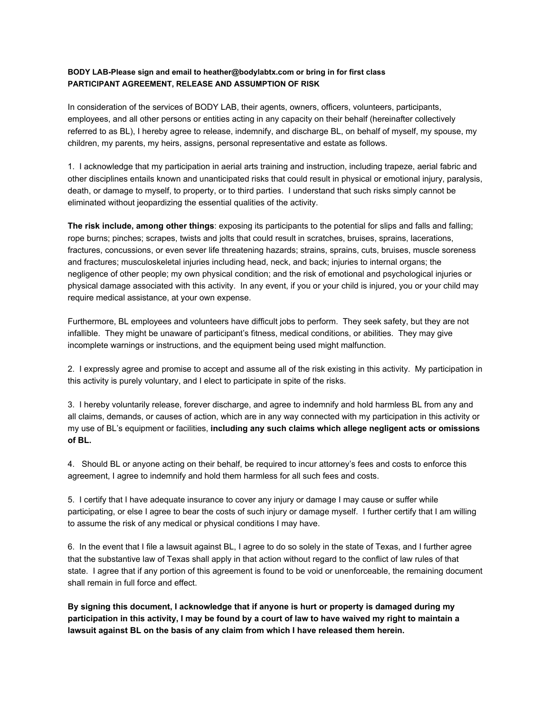## **BODY LAB-Please sign and email to heather@bodylabtx.com or bring in for first class PARTICIPANT AGREEMENT, RELEASE AND ASSUMPTION OF RISK**

In consideration of the services of BODY LAB, their agents, owners, officers, volunteers, participants, employees, and all other persons or entities acting in any capacity on their behalf (hereinafter collectively referred to as BL), I hereby agree to release, indemnify, and discharge BL, on behalf of myself, my spouse, my children, my parents, my heirs, assigns, personal representative and estate as follows.

1. I acknowledge that my participation in aerial arts training and instruction, including trapeze, aerial fabric and other disciplines entails known and unanticipated risks that could result in physical or emotional injury, paralysis, death, or damage to myself, to property, or to third parties. I understand that such risks simply cannot be eliminated without jeopardizing the essential qualities of the activity.

**The risk include, among other things**: exposing its participants to the potential for slips and falls and falling; rope burns; pinches; scrapes, twists and jolts that could result in scratches, bruises, sprains, lacerations, fractures, concussions, or even sever life threatening hazards; strains, sprains, cuts, bruises, muscle soreness and fractures; musculoskeletal injuries including head, neck, and back; injuries to internal organs; the negligence of other people; my own physical condition; and the risk of emotional and psychological injuries or physical damage associated with this activity. In any event, if you or your child is injured, you or your child may require medical assistance, at your own expense.

Furthermore, BL employees and volunteers have difficult jobs to perform. They seek safety, but they are not infallible. They might be unaware of participant's fitness, medical conditions, or abilities. They may give incomplete warnings or instructions, and the equipment being used might malfunction.

2. I expressly agree and promise to accept and assume all of the risk existing in this activity. My participation in this activity is purely voluntary, and I elect to participate in spite of the risks.

3. I hereby voluntarily release, forever discharge, and agree to indemnify and hold harmless BL from any and all claims, demands, or causes of action, which are in any way connected with my participation in this activity or my use of BL's equipment or facilities, **including any such claims which allege negligent acts or omissions of BL.**

4. Should BL or anyone acting on their behalf, be required to incur attorney's fees and costs to enforce this agreement, I agree to indemnify and hold them harmless for all such fees and costs.

5. I certify that I have adequate insurance to cover any injury or damage I may cause or suffer while participating, or else I agree to bear the costs of such injury or damage myself. I further certify that I am willing to assume the risk of any medical or physical conditions I may have.

6. In the event that I file a lawsuit against BL, I agree to do so solely in the state of Texas, and I further agree that the substantive law of Texas shall apply in that action without regard to the conflict of law rules of that state. I agree that if any portion of this agreement is found to be void or unenforceable, the remaining document shall remain in full force and effect.

**By signing this document, I acknowledge that if anyone is hurt or property is damaged during my participation in this activity, I may be found by a court of law to have waived my right to maintain a lawsuit against BL on the basis of any claim from which I have released them herein.**